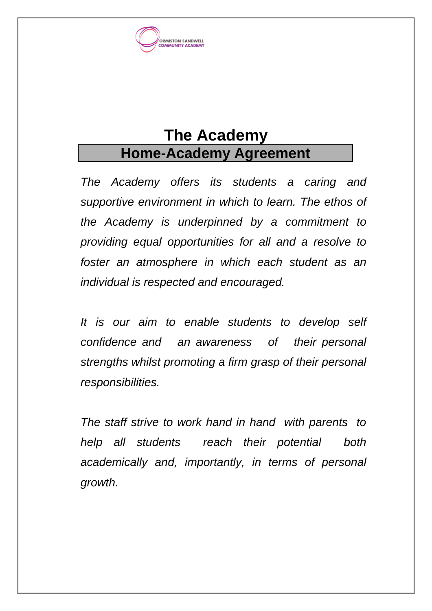

# **The Academy Home-Academy Agreement**

*The Academy offers its students a caring and supportive environment in which to learn. The ethos of the Academy is underpinned by a commitment to providing equal opportunities for all and a resolve to foster an atmosphere in which each student as an individual is respected and encouraged.*

*It is our aim to enable students to develop self confidence and an awareness of their personal strengths whilst promoting a firm grasp of their personal responsibilities.*

*The staff strive to work hand in hand with parents to help all students reach their potential both academically and, importantly, in terms of personal growth.*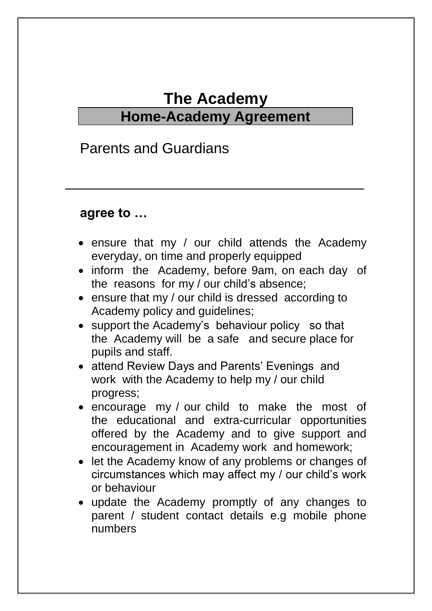## **The Academy Home-Academy Agreement**

\_\_\_\_\_\_\_\_\_\_\_\_\_\_\_\_\_\_\_\_\_\_\_\_\_\_\_\_\_\_\_\_\_\_\_\_\_

#### Parents and Guardians

#### **agree to …**

- ensure that my / our child attends the Academy everyday, on time and properly equipped
- inform the Academy, before 9am, on each day of the reasons for my / our child's absence;
- ensure that my / our child is dressed according to Academy policy and guidelines;
- support the Academy's behaviour policy so that the Academy will be a safe and secure place for pupils and staff.
- attend Review Days and Parents' Evenings and work with the Academy to help my / our child progress;
- encourage my / our child to make the most of the educational and extra-curricular opportunities offered by the Academy and to give support and encouragement in Academy work and homework;
- let the Academy know of any problems or changes of circumstances which may affect my / our child's work or behaviour
- update the Academy promptly of any changes to parent / student contact details e.g mobile phone numbers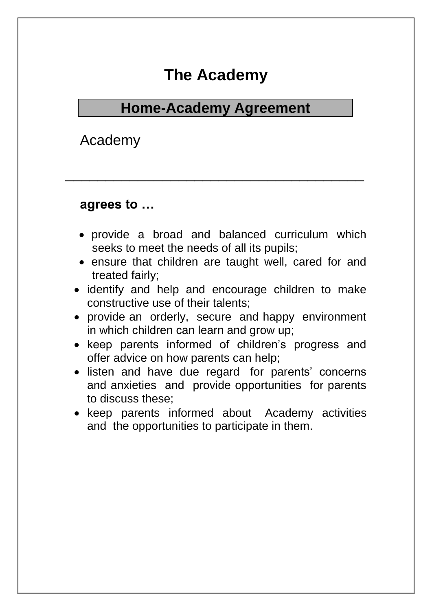## **The Academy**

### **Home-Academy Agreement**

\_\_\_\_\_\_\_\_\_\_\_\_\_\_\_\_\_\_\_\_\_\_\_\_\_\_\_\_\_\_\_\_\_\_\_\_\_

Academy

#### **agrees to …**

- provide a broad and balanced curriculum which seeks to meet the needs of all its pupils;
- ensure that children are taught well, cared for and treated fairly;
- identify and help and encourage children to make constructive use of their talents;
- provide an orderly, secure and happy environment in which children can learn and grow up;
- keep parents informed of children's progress and offer advice on how parents can help;
- listen and have due regard for parents' concerns and anxieties and provide opportunities for parents to discuss these;
- keep parents informed about Academy activities and the opportunities to participate in them.